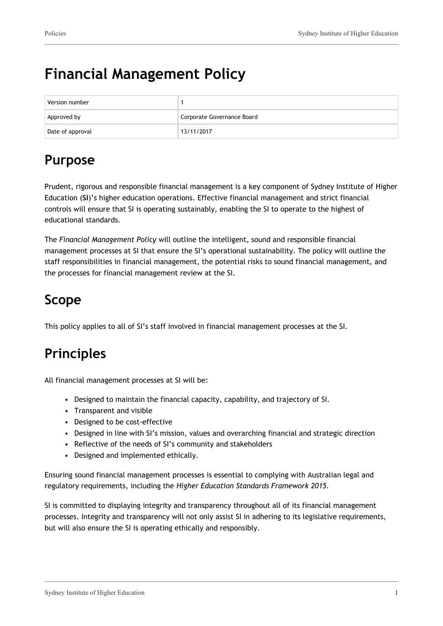# **Financial Management Policy**

| Version number   |                            |
|------------------|----------------------------|
| Approved by      | Corporate Governance Board |
| Date of approval | 13/11/2017                 |

## **Purpose**

Prudent, rigorous and responsible financial management is a key component of Sydney Institute of Higher Education (**SI**)'s higher education operations. Effective financial management and strict financial controls will ensure that SI is operating sustainably, enabling the SI to operate to the highest of educational standards.

The *Financial Management Policy* will outline the intelligent, sound and responsible financial management processes at SI that ensure the SI's operational sustainability. The policy will outline the staff responsibilities in financial management, the potential risks to sound financial management, and the processes for financial management review at the SI.

## **Scope**

This policy applies to all of SI's staff involved in financial management processes at the SI.

## **Principles**

All financial management processes at SI will be:

- Designed to maintain the financial capacity, capability, and trajectory of SI.
- Transparent and visible
- Designed to be cost-effective
- Designed in line with SI's mission, values and overarching financial and strategic direction
- Reflective of the needs of SI's community and stakeholders
- Designed and implemented ethically.

Ensuring sound financial management processes is essential to complying with Australian legal and regulatory requirements, including the *Higher Education Standards Framework 2015.*

SI is committed to displaying integrity and transparency throughout all of its financial management processes. Integrity and transparency will not only assist SI in adhering to its legislative requirements, but will also ensure the SI is operating ethically and responsibly.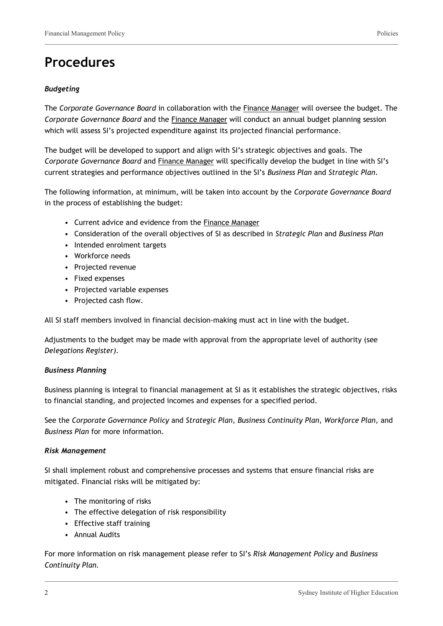## **Procedures**

### *Budgeting*

The *Corporate Governance Board* in collaboration with the Finance Manager will oversee the budget. The *Corporate Governance Board* and the Finance Manager will conduct an annual budget planning session which will assess SI's projected expenditure against its projected financial performance.

The budget will be developed to support and align with SI's strategic objectives and goals. The *Corporate Governance Board* and Finance Manager will specifically develop the budget in line with SI's current strategies and performance objectives outlined in the SI's *Business Plan* and *Strategic Plan*.

The following information, at minimum, will be taken into account by the *Corporate Governance Board* in the process of establishing the budget:

- Current advice and evidence from the Finance Manager
- Consideration of the overall objectives of SI as described in *Strategic Plan* and *Business Plan*
- Intended enrolment targets
- Workforce needs
- Projected revenue
- Fixed expenses
- Projected variable expenses
- Projected cash flow.

All SI staff members involved in financial decision-making must act in line with the budget.

Adjustments to the budget may be made with approval from the appropriate level of authority (see *Delegations Register).*

#### *Business Planning*

Business planning is integral to financial management at SI as it establishes the strategic objectives, risks to financial standing, and projected incomes and expenses for a specified period.

See the *Corporate Governance Policy* and *Strategic Plan, Business Continuity Plan, Workforce Plan,* and *Business Plan* for more information.

#### *Risk Management*

SI shall implement robust and comprehensive processes and systems that ensure financial risks are mitigated. Financial risks will be mitigated by:

- The monitoring of risks
- The effective delegation of risk responsibility
- Effective staff training
- Annual Audits

For more information on risk management please refer to SI's *Risk Management Policy* and *Business Continuity Plan.*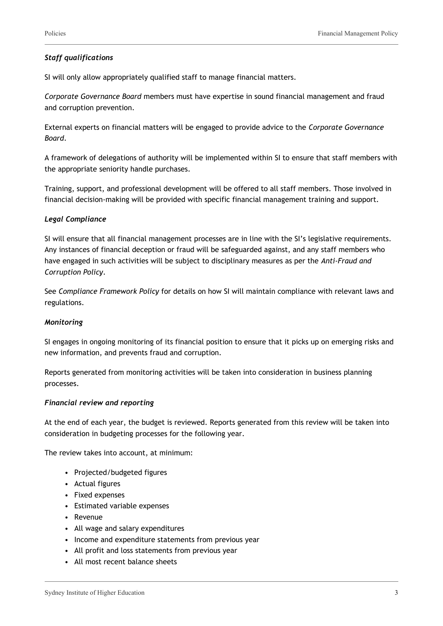#### *Staff qualifications*

SI will only allow appropriately qualified staff to manage financial matters.

*Corporate Governance Board* members must have expertise in sound financial management and fraud and corruption prevention.

External experts on financial matters will be engaged to provide advice to the *Corporate Governance Board*.

A framework of delegations of authority will be implemented within SI to ensure that staff members with the appropriate seniority handle purchases.

Training, support, and professional development will be offered to all staff members. Those involved in financial decision-making will be provided with specific financial management training and support.

#### *Legal Compliance*

SI will ensure that all financial management processes are in line with the SI's legislative requirements. Any instances of financial deception or fraud will be safeguarded against, and any staff members who have engaged in such activities will be subject to disciplinary measures as per the *Anti-Fraud and Corruption Policy*.

See *Compliance Framework Policy* for details on how SI will maintain compliance with relevant laws and regulations.

#### *Monitoring*

SI engages in ongoing monitoring of its financial position to ensure that it picks up on emerging risks and new information, and prevents fraud and corruption.

Reports generated from monitoring activities will be taken into consideration in business planning processes.

#### *Financial review and reporting*

At the end of each year, the budget is reviewed. Reports generated from this review will be taken into consideration in budgeting processes for the following year.

The review takes into account, at minimum:

- Projected/budgeted figures
- Actual figures
- Fixed expenses
- Estimated variable expenses
- Revenue
- All wage and salary expenditures
- Income and expenditure statements from previous year
- All profit and loss statements from previous year
- All most recent balance sheets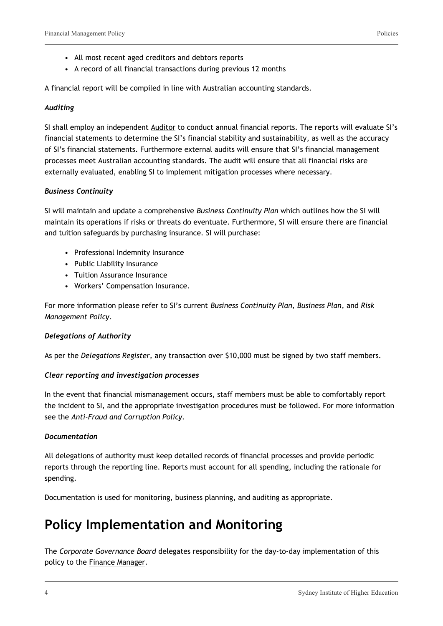- All most recent aged creditors and debtors reports
- A record of all financial transactions during previous 12 months

A financial report will be compiled in line with Australian accounting standards.

#### *Auditing*

SI shall employ an independent Auditor to conduct annual financial reports. The reports will evaluate SI's financial statements to determine the SI's financial stability and sustainability, as well as the accuracy of SI's financial statements. Furthermore external audits will ensure that SI's financial management processes meet Australian accounting standards. The audit will ensure that all financial risks are externally evaluated, enabling SI to implement mitigation processes where necessary.

#### *Business Continuity*

SI will maintain and update a comprehensive *Business Continuity Plan* which outlines how the SI will maintain its operations if risks or threats do eventuate. Furthermore, SI will ensure there are financial and tuition safeguards by purchasing insurance. SI will purchase:

- Professional Indemnity Insurance
- Public Liability Insurance
- Tuition Assurance Insurance
- Workers' Compensation Insurance.

For more information please refer to SI's current *Business Continuity Plan, Business Plan*, and *Risk Management Policy*.

#### *Delegations of Authority*

As per the *Delegations Register,* any transaction over \$10,000 must be signed by two staff members.

#### *Clear reporting and investigation processes*

In the event that financial mismanagement occurs, staff members must be able to comfortably report the incident to SI, and the appropriate investigation procedures must be followed. For more information see the *Anti-Fraud and Corruption Policy.*

#### *Documentation*

All delegations of authority must keep detailed records of financial processes and provide periodic reports through the reporting line. Reports must account for all spending, including the rationale for spending.

Documentation is used for monitoring, business planning, and auditing as appropriate.

### **Policy Implementation and Monitoring**

The *Corporate Governance Board* delegates responsibility for the day-to-day implementation of this policy to the Finance Manager.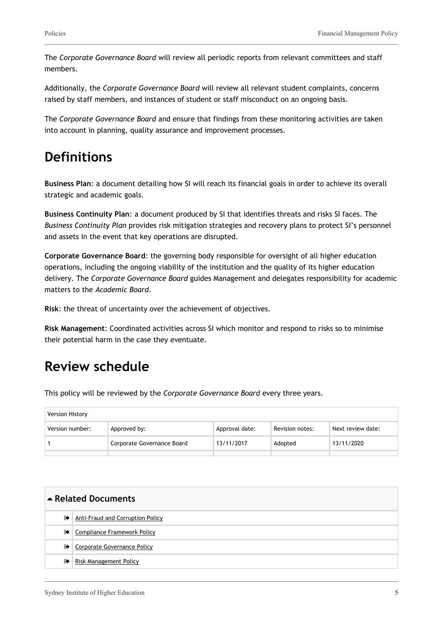The *Corporate Governance Board* will review all periodic reports from relevant committees and staff members.

Additionally, the *Corporate Governance Board* will review all relevant student complaints, concerns raised by staff members, and instances of student or staff misconduct on an ongoing basis.

The *Corporate Governance Board* and ensure that findings from these monitoring activities are taken into account in planning, quality assurance and improvement processes.

### **Definitions**

**Business Plan**: a document detailing how SI will reach its financial goals in order to achieve its overall strategic and academic goals.

**Business Continuity Plan**: a document produced by SI that identifies threats and risks SI faces. The *Business Continuity Plan* provides risk mitigation strategies and recovery plans to protect SI's personnel and assets in the event that key operations are disrupted.

**Corporate Governance Board**: the governing body responsible for oversight of all higher education operations, including the ongoing viability of the institution and the quality of its higher education delivery. The *Corporate Governance Board* guides Management and delegates responsibility for academic matters to the *Academic Board*.

**Risk**: the threat of uncertainty over the achievement of objectives.

**Risk Management**: Coordinated activities across SI which monitor and respond to risks so to minimise their potential harm in the case they eventuate.

### **Review schedule**

This policy will be reviewed by the *Corporate Governance Board* every three years.

| Version History |                            |                |                 |                   |  |
|-----------------|----------------------------|----------------|-----------------|-------------------|--|
| Version number: | Approved by:               | Approval date: | Revision notes: | Next review date: |  |
|                 | Corporate Governance Board | 13/11/2017     | Adopted         | 13/11/2020        |  |
|                 |                            |                |                 |                   |  |

| Related Documents |                                  |  |
|-------------------|----------------------------------|--|
| $\bullet$         | Anti-Fraud and Corruption Policy |  |
| $\bullet$         | Compliance Framework Policy      |  |
| ☞                 | Corporate Governance Policy      |  |
| $\bullet$         | Risk Management Policy           |  |